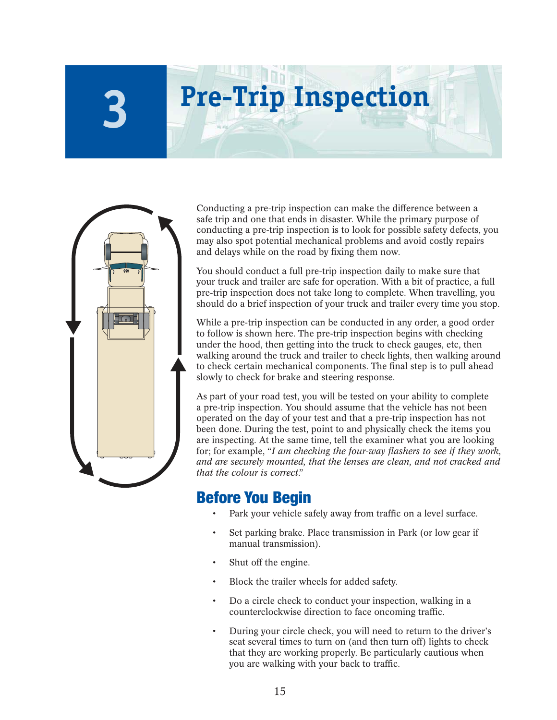# **Pre-Trip Inspection**



**3**

Conducting a pre-trip inspection can make the difference between a safe trip and one that ends in disaster. While the primary purpose of conducting a pre-trip inspection is to look for possible safety defects, you may also spot potential mechanical problems and avoid costly repairs and delays while on the road by fixing them now.

You should conduct a full pre-trip inspection daily to make sure that your truck and trailer are safe for operation. With a bit of practice, a full pre-trip inspection does not take long to complete. When travelling, you should do a brief inspection of your truck and trailer every time you stop.

While a pre-trip inspection can be conducted in any order, a good order to follow is shown here. The pre-trip inspection begins with checking under the hood, then getting into the truck to check gauges, etc, then walking around the truck and trailer to check lights, then walking around to check certain mechanical components. The final step is to pull ahead slowly to check for brake and steering response.

As part of your road test, you will be tested on your ability to complete a pre-trip inspection. You should assume that the vehicle has not been operated on the day of your test and that a pre-trip inspection has not been done. During the test, point to and physically check the items you are inspecting. At the same time, tell the examiner what you are looking for; for example, "*I am checking the four-way flashers to see if they work*, *and are securely mounted, that the lenses are clean, and not cracked and that the colour is correct*."

# Before You Begin

- Park your vehicle safely away from traffic on a level surface.
- Set parking brake. Place transmission in Park (or low gear if manual transmission).
- Shut off the engine.
- Block the trailer wheels for added safety.
- Do a circle check to conduct your inspection, walking in a counterclockwise direction to face oncoming traffic.
- During your circle check, you will need to return to the driver's seat several times to turn on (and then turn off) lights to check that they are working properly. Be particularly cautious when you are walking with your back to traffic.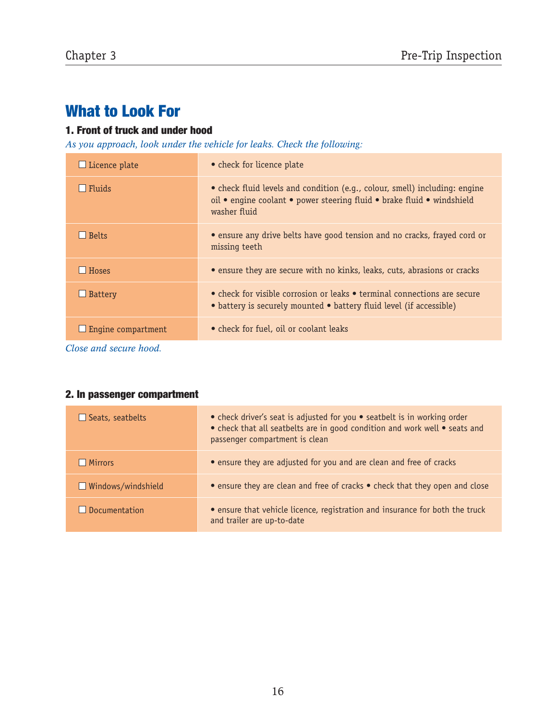# What to Look For

#### 1. Front of truck and under hood

*As you approach, look under the vehicle for leaks. Check the following:*

| $\Box$ Licence plate | • check for licence plate                                                                                                                                            |
|----------------------|----------------------------------------------------------------------------------------------------------------------------------------------------------------------|
| Fluids               | • check fluid levels and condition (e.g., colour, smell) including: engine<br>oil • engine coolant • power steering fluid • brake fluid • windshield<br>washer fluid |
| <b>Belts</b>         | • ensure any drive belts have good tension and no cracks, frayed cord or<br>missing teeth                                                                            |
| <b>Hoses</b>         | • ensure they are secure with no kinks, leaks, cuts, abrasions or cracks                                                                                             |
| $\Box$ Battery       | $\bullet$ check for visible corrosion or leaks $\bullet$ terminal connections are secure<br>• battery is securely mounted • battery fluid level (if accessible)      |
| Engine compartment   | • check for fuel, oil or coolant leaks                                                                                                                               |

*Close and secure hood.*

#### 2. In passenger compartment

| $\Box$ Seats, seatbelts   | • check driver's seat is adjusted for you • seatbelt is in working order<br>• check that all seatbelts are in good condition and work well • seats and<br>passenger compartment is clean |
|---------------------------|------------------------------------------------------------------------------------------------------------------------------------------------------------------------------------------|
| $\Box$ Mirrors            | • ensure they are adjusted for you and are clean and free of cracks                                                                                                                      |
| $\Box$ Windows/windshield | • ensure they are clean and free of cracks • check that they open and close                                                                                                              |
| $\Box$ Documentation      | • ensure that vehicle licence, registration and insurance for both the truck<br>and trailer are up-to-date                                                                               |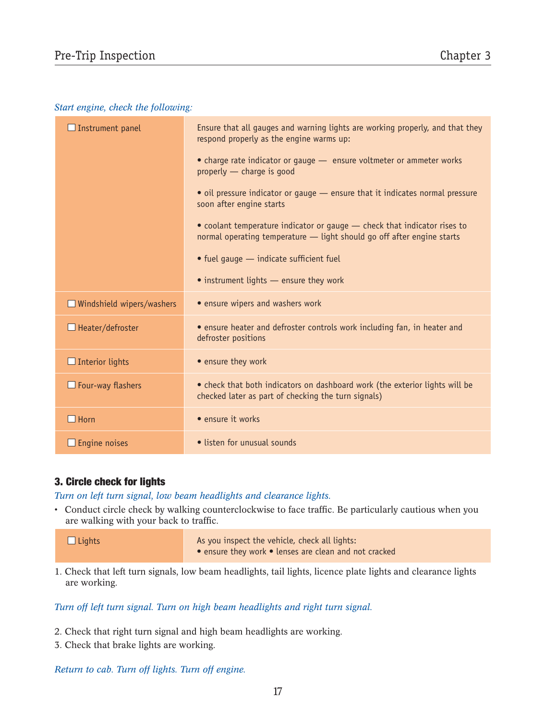#### *Start engine, check the following:*

| $\Box$ Instrument panel          | Ensure that all gauges and warning lights are working properly, and that they<br>respond properly as the engine warms up:                          |
|----------------------------------|----------------------------------------------------------------------------------------------------------------------------------------------------|
|                                  | • charge rate indicator or gauge - ensure voltmeter or ammeter works<br>properly - charge is good                                                  |
|                                  | • oil pressure indicator or gauge - ensure that it indicates normal pressure<br>soon after engine starts                                           |
|                                  | • coolant temperature indicator or gauge - check that indicator rises to<br>normal operating temperature - light should go off after engine starts |
|                                  | • fuel gauge - indicate sufficient fuel                                                                                                            |
|                                  | • instrument lights - ensure they work                                                                                                             |
| $\Box$ Windshield wipers/washers | • ensure wipers and washers work                                                                                                                   |
| $\Box$ Heater/defroster          | • ensure heater and defroster controls work including fan, in heater and<br>defroster positions                                                    |
| $\Box$ Interior lights           | • ensure they work                                                                                                                                 |
| $\Box$ Four-way flashers         | • check that both indicators on dashboard work (the exterior lights will be<br>checked later as part of checking the turn signals)                 |
| $\Box$ Horn                      | • ensure it works                                                                                                                                  |
| $\Box$ Engine noises             | • listen for unusual sounds                                                                                                                        |

#### 3. Circle check for lights

*Turn on left turn signal, low beam headlights and clearance lights.*

• Conduct circle check by walking counterclockwise to face traffic. Be particularly cautious when you are walking with your back to traffic.

 $\square$  Lights  $\square$  As you inspect the vehicle, check all lights:

• ensure they work • lenses are clean and not cracked

1. Check that left turn signals, low beam headlights, tail lights, licence plate lights and clearance lights are working.

#### *Turn off left turn signal. Turn on high beam headlights and right turn signal.*

- 2. Check that right turn signal and high beam headlights are working.
- 3. Check that brake lights are working.

*Return to cab. Turn off lights. Turn off engine.*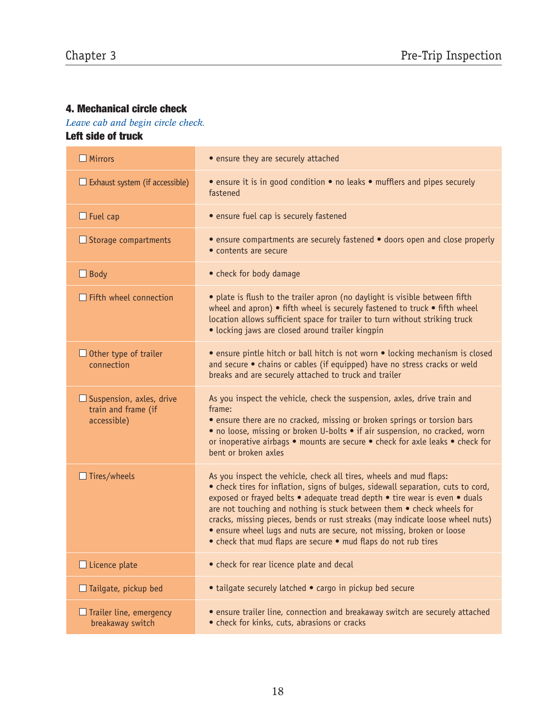## 4. Mechanical circle check

*Leave cab and begin circle check.* Left side of truck

| $\Box$ Mirrors                                                        | • ensure they are securely attached                                                                                                                                                                                                                                                                                                                                                                                                                                                                                                       |
|-----------------------------------------------------------------------|-------------------------------------------------------------------------------------------------------------------------------------------------------------------------------------------------------------------------------------------------------------------------------------------------------------------------------------------------------------------------------------------------------------------------------------------------------------------------------------------------------------------------------------------|
| $\Box$ Exhaust system (if accessible)                                 | • ensure it is in good condition • no leaks • mufflers and pipes securely<br>fastened                                                                                                                                                                                                                                                                                                                                                                                                                                                     |
| $\Box$ Fuel cap                                                       | • ensure fuel cap is securely fastened                                                                                                                                                                                                                                                                                                                                                                                                                                                                                                    |
| $\Box$ Storage compartments                                           | • ensure compartments are securely fastened • doors open and close properly<br>• contents are secure                                                                                                                                                                                                                                                                                                                                                                                                                                      |
| $\Box$ Body                                                           | • check for body damage                                                                                                                                                                                                                                                                                                                                                                                                                                                                                                                   |
| $\Box$ Fifth wheel connection                                         | • plate is flush to the trailer apron (no daylight is visible between fifth<br>wheel and apron) • fifth wheel is securely fastened to truck • fifth wheel<br>location allows sufficient space for trailer to turn without striking truck<br>• locking jaws are closed around trailer kingpin                                                                                                                                                                                                                                              |
| $\Box$ Other type of trailer<br>connection                            | • ensure pintle hitch or ball hitch is not worn • locking mechanism is closed<br>and secure • chains or cables (if equipped) have no stress cracks or weld<br>breaks and are securely attached to truck and trailer                                                                                                                                                                                                                                                                                                                       |
| $\Box$ Suspension, axles, drive<br>train and frame (if<br>accessible) | As you inspect the vehicle, check the suspension, axles, drive train and<br>frame:<br>• ensure there are no cracked, missing or broken springs or torsion bars<br>• no loose, missing or broken U-bolts • if air suspension, no cracked, worn<br>or inoperative airbags • mounts are secure • check for axle leaks • check for<br>bent or broken axles                                                                                                                                                                                    |
| $\Box$ Tires/wheels                                                   | As you inspect the vehicle, check all tires, wheels and mud flaps:<br>• check tires for inflation, signs of bulges, sidewall separation, cuts to cord,<br>exposed or frayed belts • adequate tread depth • tire wear is even • duals<br>are not touching and nothing is stuck between them . check wheels for<br>cracks, missing pieces, bends or rust streaks (may indicate loose wheel nuts)<br>• ensure wheel lugs and nuts are secure, not missing, broken or loose<br>• check that mud flaps are secure • mud flaps do not rub tires |
| $\Box$ Licence plate                                                  | • check for rear licence plate and decal                                                                                                                                                                                                                                                                                                                                                                                                                                                                                                  |
| $\Box$ Tailgate, pickup bed                                           | • tailgate securely latched • cargo in pickup bed secure                                                                                                                                                                                                                                                                                                                                                                                                                                                                                  |
| $\Box$ Trailer line, emergency<br>breakaway switch                    | • ensure trailer line, connection and breakaway switch are securely attached<br>• check for kinks, cuts, abrasions or cracks                                                                                                                                                                                                                                                                                                                                                                                                              |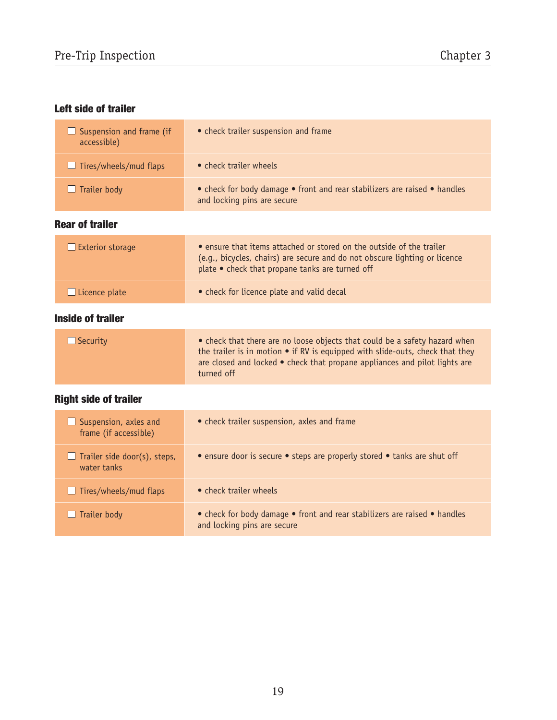# Left side of trailer

| $\Box$ Suspension and frame (if<br>accessible) | • check trailer suspension and frame                                                                     |
|------------------------------------------------|----------------------------------------------------------------------------------------------------------|
| $\Box$ Tires/wheels/mud flaps                  | • check trailer wheels                                                                                   |
| $\Box$ Trailer body                            | • check for body damage • front and rear stabilizers are raised • handles<br>and locking pins are secure |

## Rear of trailer

| $\Box$ Exterior storage | • ensure that items attached or stored on the outside of the trailer<br>(e.g., bicycles, chairs) are secure and do not obscure lighting or licence<br>plate • check that propane tanks are turned off |
|-------------------------|-------------------------------------------------------------------------------------------------------------------------------------------------------------------------------------------------------|
| $\Box$ Licence plate    | • check for licence plate and valid decal                                                                                                                                                             |

## Inside of trailer

| $\Box$ Security | • check that there are no loose objects that could be a safety hazard when<br>the trailer is in motion $\bullet$ if RV is equipped with slide-outs, check that they<br>are closed and locked $\bullet$ check that propane appliances and pilot lights are<br>turned off |
|-----------------|-------------------------------------------------------------------------------------------------------------------------------------------------------------------------------------------------------------------------------------------------------------------------|
|                 |                                                                                                                                                                                                                                                                         |

# Right side of trailer

| $\Box$ Suspension, axles and<br>frame (if accessible) | • check trailer suspension, axles and frame                                                              |
|-------------------------------------------------------|----------------------------------------------------------------------------------------------------------|
| $\Box$ Trailer side door(s), steps,<br>water tanks    | • ensure door is secure • steps are properly stored • tanks are shut off                                 |
| $\Box$ Tires/wheels/mud flaps                         | • check trailer wheels                                                                                   |
| Trailer body<br>U                                     | • check for body damage • front and rear stabilizers are raised • handles<br>and locking pins are secure |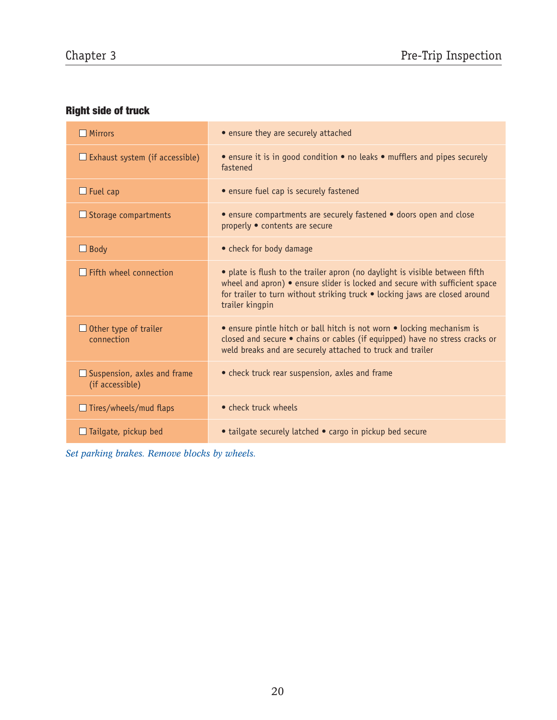# Right side of truck

| $\Box$ Mirrors                                        | • ensure they are securely attached                                                                                                                                                                                                                          |
|-------------------------------------------------------|--------------------------------------------------------------------------------------------------------------------------------------------------------------------------------------------------------------------------------------------------------------|
| $\Box$ Exhaust system (if accessible)                 | • ensure it is in good condition • no leaks • mufflers and pipes securely<br>fastened                                                                                                                                                                        |
| $\Box$ Fuel cap                                       | • ensure fuel cap is securely fastened                                                                                                                                                                                                                       |
| $\Box$ Storage compartments                           | • ensure compartments are securely fastened • doors open and close<br>properly . contents are secure                                                                                                                                                         |
| $\Box$ Body                                           | • check for body damage                                                                                                                                                                                                                                      |
| $\Box$ Fifth wheel connection                         | • plate is flush to the trailer apron (no daylight is visible between fifth<br>wheel and apron) • ensure slider is locked and secure with sufficient space<br>for trailer to turn without striking truck • locking jaws are closed around<br>trailer kingpin |
| $\Box$ Other type of trailer<br>connection            | • ensure pintle hitch or ball hitch is not worn • locking mechanism is<br>closed and secure · chains or cables (if equipped) have no stress cracks or<br>weld breaks and are securely attached to truck and trailer                                          |
| $\Box$ Suspension, axles and frame<br>(if accessible) | • check truck rear suspension, axles and frame                                                                                                                                                                                                               |
| $\Box$ Tires/wheels/mud flaps                         | • check truck wheels                                                                                                                                                                                                                                         |
| $\Box$ Tailgate, pickup bed                           | • tailgate securely latched • cargo in pickup bed secure                                                                                                                                                                                                     |

*Set parking brakes. Remove blocks by wheels.*